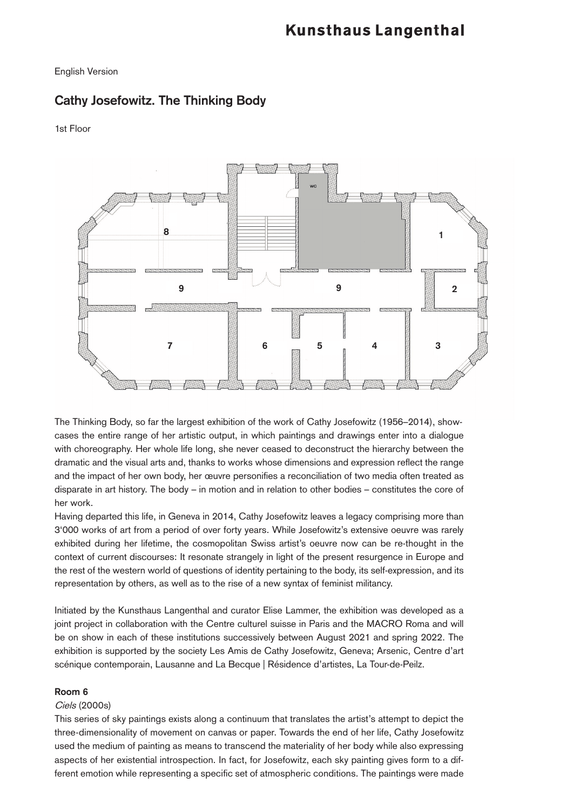# English Version

# **Cathy Josefowitz. The Thinking Body**

1st Floor



The Thinking Body, so far the largest exhibition of the work of Cathy Josefowitz (1956–2014), showcases the entire range of her artistic output, in which paintings and drawings enter into a dialogue with choreography. Her whole life long, she never ceased to deconstruct the hierarchy between the dramatic and the visual arts and, thanks to works whose dimensions and expression reflect the range and the impact of her own body, her œuvre personifies a reconciliation of two media often treated as disparate in art history. The body – in motion and in relation to other bodies – constitutes the core of her work.

Having departed this life, in Geneva in 2014, Cathy Josefowitz leaves a legacy comprising more than 3'000 works of art from a period of over forty years. While Josefowitz's extensive oeuvre was rarely exhibited during her lifetime, the cosmopolitan Swiss artist's oeuvre now can be re-thought in the context of current discourses: It resonate strangely in light of the present resurgence in Europe and the rest of the western world of questions of identity pertaining to the body, its self-expression, and its representation by others, as well as to the rise of a new syntax of feminist militancy.

Initiated by the Kunsthaus Langenthal and curator Elise Lammer, the exhibition was developed as a joint project in collaboration with the Centre culturel suisse in Paris and the MACRO Roma and will be on show in each of these institutions successively between August 2021 and spring 2022. The exhibition is supported by the society Les Amis de Cathy Josefowitz, Geneva; Arsenic, Centre d'art scénique contemporain, Lausanne and La Becque | Résidence d'artistes, La Tour-de-Peilz.

# **Room 6**

# Ciels (2000s)

This series of sky paintings exists along a continuum that translates the artist's attempt to depict the three-dimensionality of movement on canvas or paper. Towards the end of her life, Cathy Josefowitz used the medium of painting as means to transcend the materiality of her body while also expressing aspects of her existential introspection. In fact, for Josefowitz, each sky painting gives form to a different emotion while representing a specific set of atmospheric conditions. The paintings were made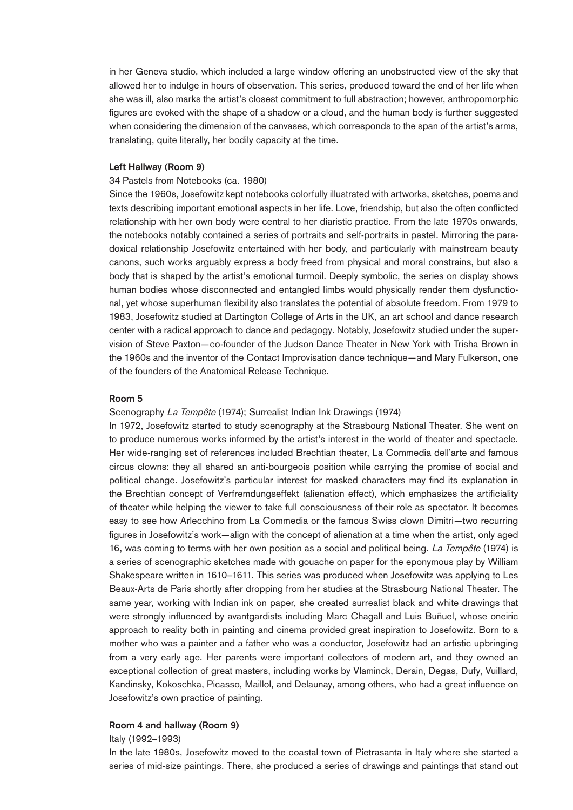in her Geneva studio, which included a large window offering an unobstructed view of the sky that allowed her to indulge in hours of observation. This series, produced toward the end of her life when she was ill, also marks the artist's closest commitment to full abstraction; however, anthropomorphic figures are evoked with the shape of a shadow or a cloud, and the human body is further suggested when considering the dimension of the canvases, which corresponds to the span of the artist's arms, translating, quite literally, her bodily capacity at the time.

### **Left Hallway (Room 9)**

#### 34 Pastels from Notebooks (ca. 1980)

Since the 1960s, Josefowitz kept notebooks colorfully illustrated with artworks, sketches, poems and texts describing important emotional aspects in her life. Love, friendship, but also the often conflicted relationship with her own body were central to her diaristic practice. From the late 1970s onwards, the notebooks notably contained a series of portraits and self-portraits in pastel. Mirroring the paradoxical relationship Josefowitz entertained with her body, and particularly with mainstream beauty canons, such works arguably express a body freed from physical and moral constrains, but also a body that is shaped by the artist's emotional turmoil. Deeply symbolic, the series on display shows human bodies whose disconnected and entangled limbs would physically render them dysfunctional, yet whose superhuman flexibility also translates the potential of absolute freedom. From 1979 to 1983, Josefowitz studied at Dartington College of Arts in the UK, an art school and dance research center with a radical approach to dance and pedagogy. Notably, Josefowitz studied under the supervision of Steve Paxton—co-founder of the Judson Dance Theater in New York with Trisha Brown in the 1960s and the inventor of the Contact Improvisation dance technique—and Mary Fulkerson, one of the founders of the Anatomical Release Technique.

#### **Room 5**

#### Scenography La Tempête (1974); Surrealist Indian Ink Drawings (1974)

In 1972, Josefowitz started to study scenography at the Strasbourg National Theater. She went on to produce numerous works informed by the artist's interest in the world of theater and spectacle. Her wide-ranging set of references included Brechtian theater, La Commedia dell'arte and famous circus clowns: they all shared an anti-bourgeois position while carrying the promise of social and political change. Josefowitz's particular interest for masked characters may find its explanation in the Brechtian concept of Verfremdungseffekt (alienation effect), which emphasizes the artificiality of theater while helping the viewer to take full consciousness of their role as spectator. It becomes easy to see how Arlecchino from La Commedia or the famous Swiss clown Dimitri—two recurring figures in Josefowitz's work—align with the concept of alienation at a time when the artist, only aged 16, was coming to terms with her own position as a social and political being. La Tempête (1974) is a series of scenographic sketches made with gouache on paper for the eponymous play by William Shakespeare written in 1610–1611. This series was produced when Josefowitz was applying to Les Beaux-Arts de Paris shortly after dropping from her studies at the Strasbourg National Theater. The same year, working with Indian ink on paper, she created surrealist black and white drawings that were strongly influenced by avantgardists including Marc Chagall and Luis Buñuel, whose oneiric approach to reality both in painting and cinema provided great inspiration to Josefowitz. Born to a mother who was a painter and a father who was a conductor, Josefowitz had an artistic upbringing from a very early age. Her parents were important collectors of modern art, and they owned an exceptional collection of great masters, including works by Vlaminck, Derain, Degas, Dufy, Vuillard, Kandinsky, Kokoschka, Picasso, Maillol, and Delaunay, among others, who had a great influence on Josefowitz's own practice of painting.

#### **Room 4 and hallway (Room 9)**

Italy (1992–1993)

In the late 1980s, Josefowitz moved to the coastal town of Pietrasanta in Italy where she started a series of mid-size paintings. There, she produced a series of drawings and paintings that stand out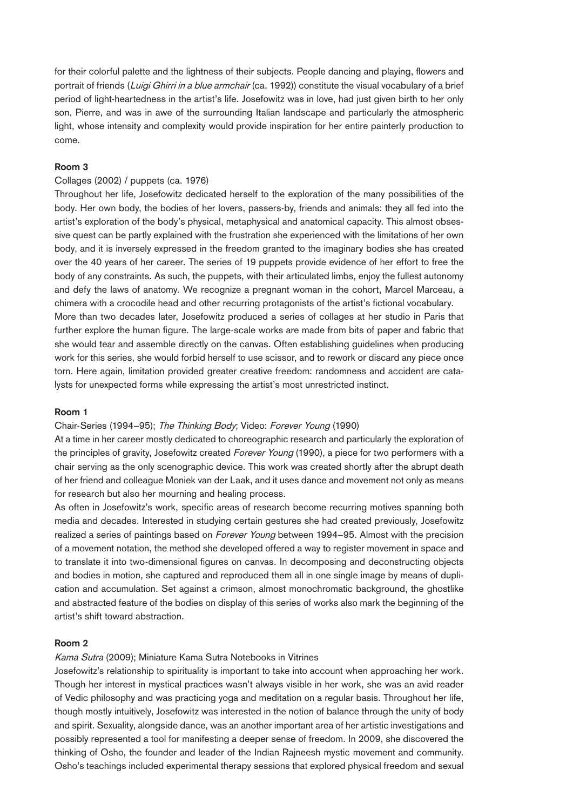for their colorful palette and the lightness of their subjects. People dancing and playing, flowers and portrait of friends (Luigi Ghirri in a blue armchair (ca. 1992)) constitute the visual vocabulary of a brief period of light-heartedness in the artist's life. Josefowitz was in love, had just given birth to her only son, Pierre, and was in awe of the surrounding Italian landscape and particularly the atmospheric light, whose intensity and complexity would provide inspiration for her entire painterly production to come.

# **Room 3**

## Collages (2002) / puppets (ca. 1976)

Throughout her life, Josefowitz dedicated herself to the exploration of the many possibilities of the body. Her own body, the bodies of her lovers, passers-by, friends and animals: they all fed into the artist's exploration of the body's physical, metaphysical and anatomical capacity. This almost obsessive quest can be partly explained with the frustration she experienced with the limitations of her own body, and it is inversely expressed in the freedom granted to the imaginary bodies she has created over the 40 years of her career. The series of 19 puppets provide evidence of her effort to free the body of any constraints. As such, the puppets, with their articulated limbs, enjoy the fullest autonomy and defy the laws of anatomy. We recognize a pregnant woman in the cohort, Marcel Marceau, a chimera with a crocodile head and other recurring protagonists of the artist's fictional vocabulary. More than two decades later, Josefowitz produced a series of collages at her studio in Paris that further explore the human figure. The large-scale works are made from bits of paper and fabric that she would tear and assemble directly on the canvas. Often establishing guidelines when producing work for this series, she would forbid herself to use scissor, and to rework or discard any piece once torn. Here again, limitation provided greater creative freedom: randomness and accident are catalysts for unexpected forms while expressing the artist's most unrestricted instinct.

## **Room 1**

## Chair-Series (1994–95); The Thinking Body; Video: Forever Young (1990)

At a time in her career mostly dedicated to choreographic research and particularly the exploration of the principles of gravity, Josefowitz created *Forever Young* (1990), a piece for two performers with a chair serving as the only scenographic device. This work was created shortly after the abrupt death of her friend and colleague Moniek van der Laak, and it uses dance and movement not only as means for research but also her mourning and healing process.

As often in Josefowitz's work, specific areas of research become recurring motives spanning both media and decades. Interested in studying certain gestures she had created previously, Josefowitz realized a series of paintings based on *Forever Young* between 1994–95. Almost with the precision of a movement notation, the method she developed offered a way to register movement in space and to translate it into two-dimensional figures on canvas. In decomposing and deconstructing objects and bodies in motion, she captured and reproduced them all in one single image by means of duplication and accumulation. Set against a crimson, almost monochromatic background, the ghostlike and abstracted feature of the bodies on display of this series of works also mark the beginning of the artist's shift toward abstraction.

## **Room 2**

## Kama Sutra (2009); Miniature Kama Sutra Notebooks in Vitrines

Josefowitz's relationship to spirituality is important to take into account when approaching her work. Though her interest in mystical practices wasn't always visible in her work, she was an avid reader of Vedic philosophy and was practicing yoga and meditation on a regular basis. Throughout her life, though mostly intuitively, Josefowitz was interested in the notion of balance through the unity of body and spirit. Sexuality, alongside dance, was an another important area of her artistic investigations and possibly represented a tool for manifesting a deeper sense of freedom. In 2009, she discovered the thinking of Osho, the founder and leader of the Indian Rajneesh mystic movement and community. Osho's teachings included experimental therapy sessions that explored physical freedom and sexual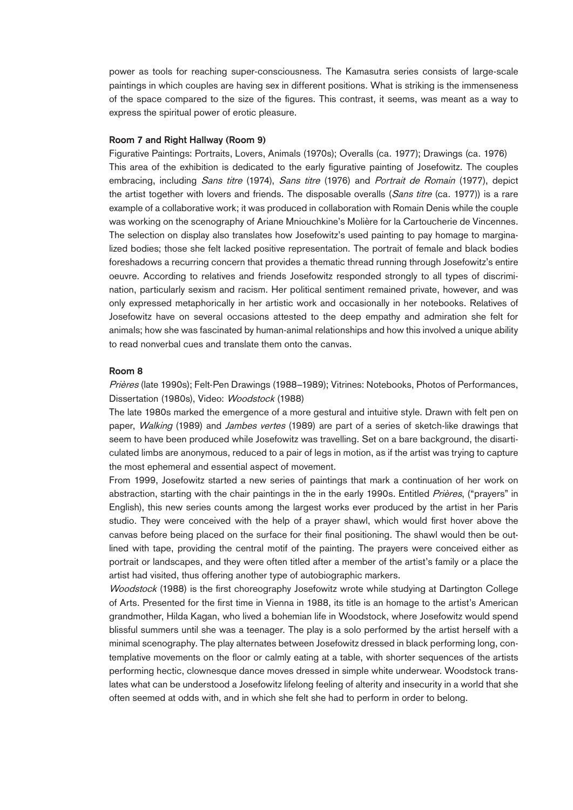power as tools for reaching super-consciousness. The Kamasutra series consists of large-scale paintings in which couples are having sex in different positions. What is striking is the immenseness of the space compared to the size of the figures. This contrast, it seems, was meant as a way to express the spiritual power of erotic pleasure.

#### **Room 7 and Right Hallway (Room 9)**

Figurative Paintings: Portraits, Lovers, Animals (1970s); Overalls (ca. 1977); Drawings (ca. 1976) This area of the exhibition is dedicated to the early figurative painting of Josefowitz. The couples embracing, including *Sans titre* (1974), *Sans titre* (1976) and *Portrait de Romain* (1977), depict the artist together with lovers and friends. The disposable overalls (Sans titre (ca. 1977)) is a rare example of a collaborative work; it was produced in collaboration with Romain Denis while the couple was working on the scenography of Ariane Mniouchkine's Molière for la Cartoucherie de Vincennes. The selection on display also translates how Josefowitz's used painting to pay homage to marginalized bodies; those she felt lacked positive representation. The portrait of female and black bodies foreshadows a recurring concern that provides a thematic thread running through Josefowitz's entire oeuvre. According to relatives and friends Josefowitz responded strongly to all types of discrimination, particularly sexism and racism. Her political sentiment remained private, however, and was only expressed metaphorically in her artistic work and occasionally in her notebooks. Relatives of Josefowitz have on several occasions attested to the deep empathy and admiration she felt for animals; how she was fascinated by human-animal relationships and how this involved a unique ability to read nonverbal cues and translate them onto the canvas.

#### **Room 8**

Prières (late 1990s); Felt-Pen Drawings (1988–1989); Vitrines: Notebooks, Photos of Performances, Dissertation (1980s), Video: Woodstock (1988)

The late 1980s marked the emergence of a more gestural and intuitive style. Drawn with felt pen on paper, Walking (1989) and Jambes vertes (1989) are part of a series of sketch-like drawings that seem to have been produced while Josefowitz was travelling. Set on a bare background, the disarticulated limbs are anonymous, reduced to a pair of legs in motion, as if the artist was trying to capture the most ephemeral and essential aspect of movement.

From 1999, Josefowitz started a new series of paintings that mark a continuation of her work on abstraction, starting with the chair paintings in the in the early 1990s. Entitled *Prières*, ("prayers" in English), this new series counts among the largest works ever produced by the artist in her Paris studio. They were conceived with the help of a prayer shawl, which would first hover above the canvas before being placed on the surface for their final positioning. The shawl would then be outlined with tape, providing the central motif of the painting. The prayers were conceived either as portrait or landscapes, and they were often titled after a member of the artist's family or a place the artist had visited, thus offering another type of autobiographic markers.

Woodstock (1988) is the first choreography Josefowitz wrote while studying at Dartington College of Arts. Presented for the first time in Vienna in 1988, its title is an homage to the artist's American grandmother, Hilda Kagan, who lived a bohemian life in Woodstock, where Josefowitz would spend blissful summers until she was a teenager. The play is a solo performed by the artist herself with a minimal scenography. The play alternates between Josefowitz dressed in black performing long, contemplative movements on the floor or calmly eating at a table, with shorter sequences of the artists performing hectic, clownesque dance moves dressed in simple white underwear. Woodstock translates what can be understood a Josefowitz lifelong feeling of alterity and insecurity in a world that she often seemed at odds with, and in which she felt she had to perform in order to belong.